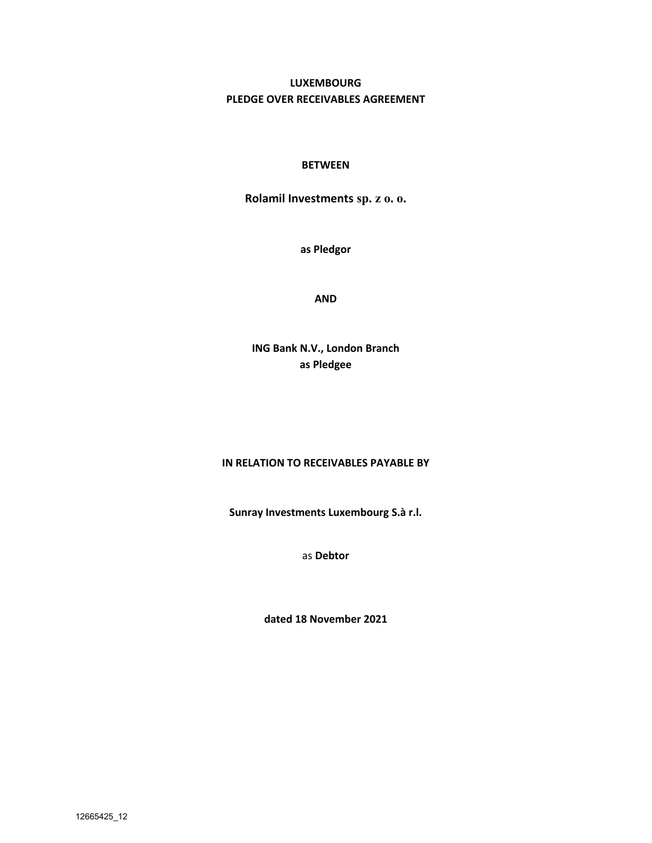# **LUXEMBOURG PLEDGE OVER RECEIVABLES AGREEMENT**

## **BETWEEN**

**Rolamil Investments sp. z o. o.**

**as Pledgor**

**AND** 

**ING Bank N.V., London Branch as Pledgee**

## **IN RELATION TO RECEIVABLES PAYABLE BY**

**Sunray Investments Luxembourg S.à r.l.**

as **Debtor**

**dated 18 November 2021**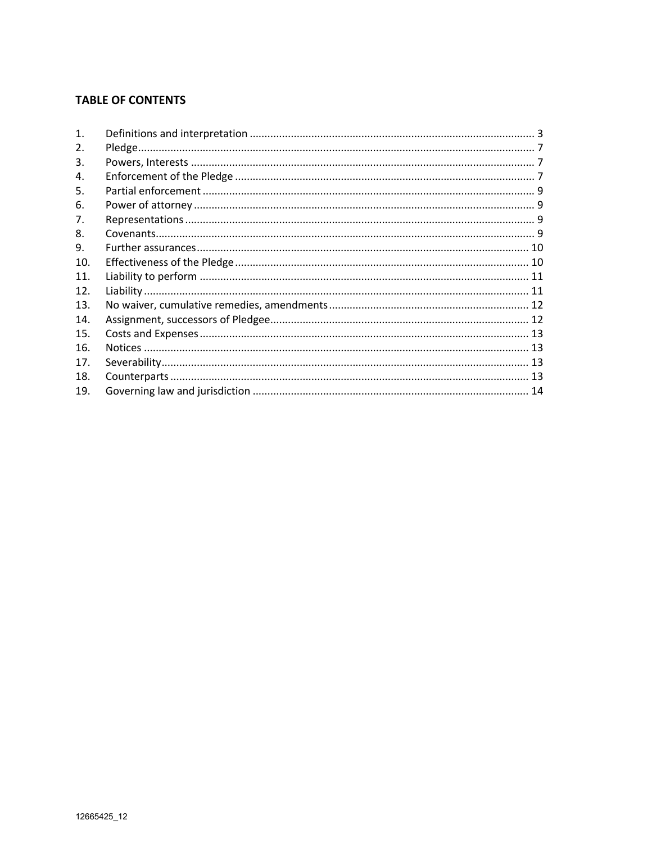## **TABLE OF CONTENTS**

| $\mathbf{1}$ . |  |
|----------------|--|
| 2.             |  |
| 3.             |  |
| 4.             |  |
| 5.             |  |
| 6.             |  |
| 7.             |  |
| 8.             |  |
| 9.             |  |
| 10.            |  |
| 11.            |  |
| 12.            |  |
| 13.            |  |
| 14.            |  |
| 15.            |  |
| 16.            |  |
| 17.            |  |
| 18.            |  |
| 19.            |  |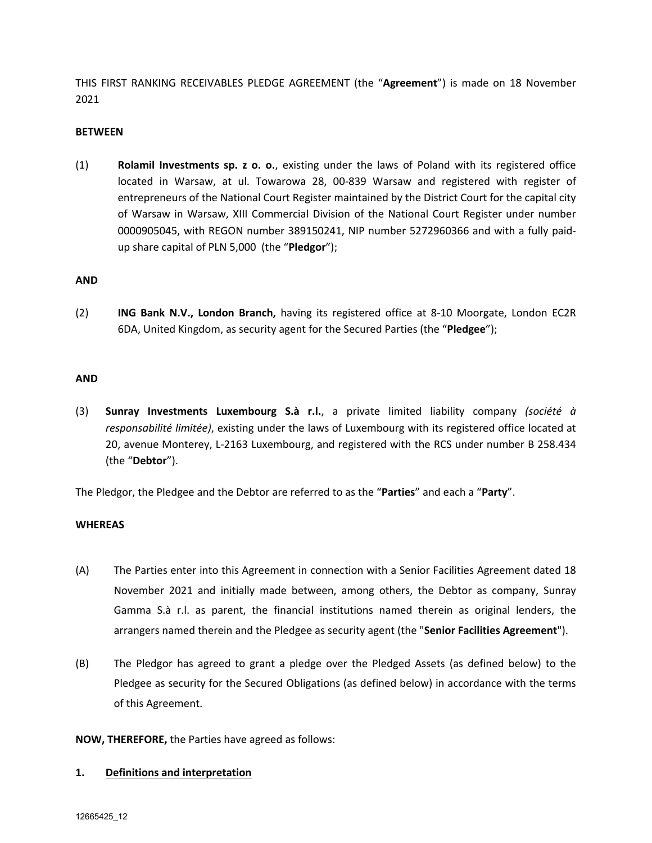THIS FIRST RANKING RECEIVABLES PLEDGE AGREEMENT (the "**Agreement**") is made on 18 November 2021

### **BETWEEN**

(1) **Rolamil Investments sp. z o. o.**, existing under the laws of Poland with its registered office located in Warsaw, at ul. Towarowa 28, 00-839 Warsaw and registered with register of entrepreneurs of the National Court Register maintained by the District Court for the capital city of Warsaw in Warsaw, XIII Commercial Division of the National Court Register under number 0000905045, with REGON number 389150241, NIP number 5272960366 and with a fully paidup share capital of PLN 5,000 (the "**Pledgor**");

### **AND**

(2) **ING Bank N.V., London Branch,** having its registered office at 8-10 Moorgate, London EC2R 6DA, United Kingdom, as security agent for the Secured Parties (the "**Pledgee**");

### **AND**

(3) **Sunray Investments Luxembourg S.à r.l.**, a private limited liability company *(société à responsabilité limitée)*, existing under the laws of Luxembourg with its registered office located at 20, avenue Monterey, L-2163 Luxembourg, and registered with the RCS under number B 258.434 (the "**Debtor**").

The Pledgor, the Pledgee and the Debtor are referred to as the "**Parties**" and each a "**Party**".

### **WHEREAS**

- (A) The Parties enter into this Agreement in connection with a Senior Facilities Agreement dated 18 November 2021 and initially made between, among others, the Debtor as company, Sunray Gamma S.à r.l. as parent, the financial institutions named therein as original lenders, the arrangers named therein and the Pledgee as security agent (the "**Senior Facilities Agreement**").
- (B) The Pledgor has agreed to grant a pledge over the Pledged Assets (as defined below) to the Pledgee as security for the Secured Obligations (as defined below) in accordance with the terms of this Agreement.

**NOW, THEREFORE,** the Parties have agreed as follows:

### **1. Definitions and interpretation**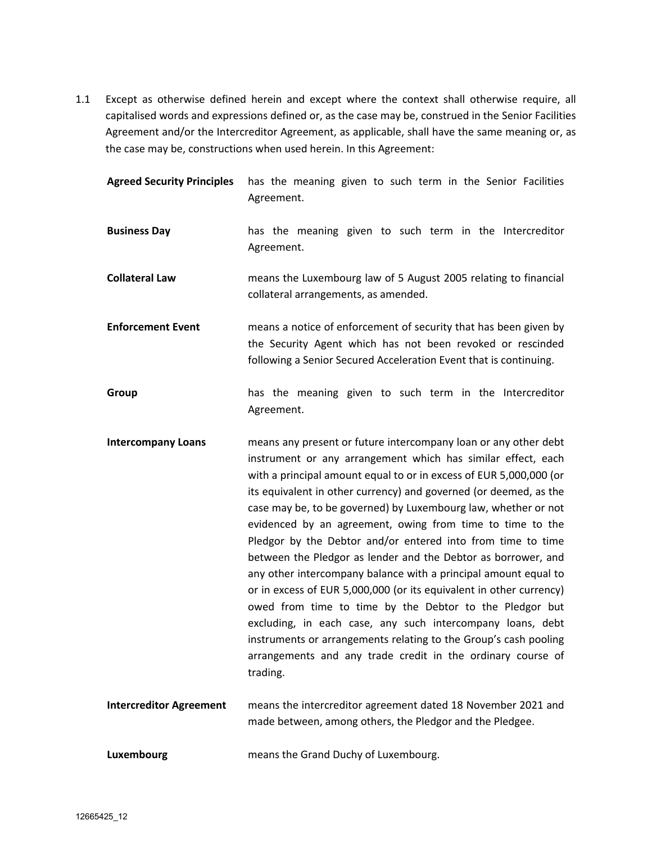1.1 Except as otherwise defined herein and except where the context shall otherwise require, all capitalised words and expressions defined or, as the case may be, construed in the Senior Facilities Agreement and/or the Intercreditor Agreement, as applicable, shall have the same meaning or, as the case may be, constructions when used herein. In this Agreement:

| <b>Agreed Security Principles</b> | has the meaning given to such term in the Senior Facilities<br>Agreement.                                                                                                                                                                                                                                                                                                                                                                                                                                                                                                                                                                                                                                                                                                                                                                                                                                                                                   |
|-----------------------------------|-------------------------------------------------------------------------------------------------------------------------------------------------------------------------------------------------------------------------------------------------------------------------------------------------------------------------------------------------------------------------------------------------------------------------------------------------------------------------------------------------------------------------------------------------------------------------------------------------------------------------------------------------------------------------------------------------------------------------------------------------------------------------------------------------------------------------------------------------------------------------------------------------------------------------------------------------------------|
| <b>Business Day</b>               | has the meaning given to such term in the Intercreditor<br>Agreement.                                                                                                                                                                                                                                                                                                                                                                                                                                                                                                                                                                                                                                                                                                                                                                                                                                                                                       |
| <b>Collateral Law</b>             | means the Luxembourg law of 5 August 2005 relating to financial<br>collateral arrangements, as amended.                                                                                                                                                                                                                                                                                                                                                                                                                                                                                                                                                                                                                                                                                                                                                                                                                                                     |
| <b>Enforcement Event</b>          | means a notice of enforcement of security that has been given by<br>the Security Agent which has not been revoked or rescinded<br>following a Senior Secured Acceleration Event that is continuing.                                                                                                                                                                                                                                                                                                                                                                                                                                                                                                                                                                                                                                                                                                                                                         |
| Group                             | has the meaning given to such term in the Intercreditor<br>Agreement.                                                                                                                                                                                                                                                                                                                                                                                                                                                                                                                                                                                                                                                                                                                                                                                                                                                                                       |
| <b>Intercompany Loans</b>         | means any present or future intercompany loan or any other debt<br>instrument or any arrangement which has similar effect, each<br>with a principal amount equal to or in excess of EUR 5,000,000 (or<br>its equivalent in other currency) and governed (or deemed, as the<br>case may be, to be governed) by Luxembourg law, whether or not<br>evidenced by an agreement, owing from time to time to the<br>Pledgor by the Debtor and/or entered into from time to time<br>between the Pledgor as lender and the Debtor as borrower, and<br>any other intercompany balance with a principal amount equal to<br>or in excess of EUR 5,000,000 (or its equivalent in other currency)<br>owed from time to time by the Debtor to the Pledgor but<br>excluding, in each case, any such intercompany loans, debt<br>instruments or arrangements relating to the Group's cash pooling<br>arrangements and any trade credit in the ordinary course of<br>trading. |
| <b>Intercreditor Agreement</b>    | means the intercreditor agreement dated 18 November 2021 and<br>made between, among others, the Pledgor and the Pledgee.                                                                                                                                                                                                                                                                                                                                                                                                                                                                                                                                                                                                                                                                                                                                                                                                                                    |
| Luxembourg                        | means the Grand Duchy of Luxembourg.                                                                                                                                                                                                                                                                                                                                                                                                                                                                                                                                                                                                                                                                                                                                                                                                                                                                                                                        |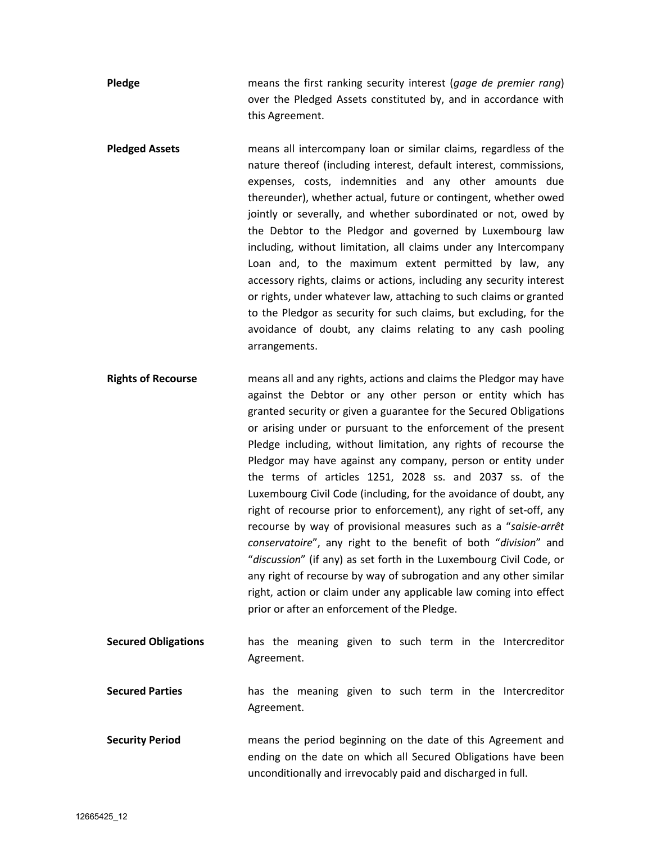**Pledge** means the first ranking security interest (*gage de premier rang*) over the Pledged Assets constituted by, and in accordance with this Agreement.

**Pledged Assets** means all intercompany loan or similar claims, regardless of the nature thereof (including interest, default interest, commissions, expenses, costs, indemnities and any other amounts due thereunder), whether actual, future or contingent, whether owed jointly or severally, and whether subordinated or not, owed by the Debtor to the Pledgor and governed by Luxembourg law including, without limitation, all claims under any Intercompany Loan and, to the maximum extent permitted by law, any accessory rights, claims or actions, including any security interest or rights, under whatever law, attaching to such claims or granted to the Pledgor as security for such claims, but excluding, for the avoidance of doubt, any claims relating to any cash pooling arrangements.

**Rights of Recourse** means all and any rights, actions and claims the Pledgor may have against the Debtor or any other person or entity which has granted security or given a guarantee for the Secured Obligations or arising under or pursuant to the enforcement of the present Pledge including, without limitation, any rights of recourse the Pledgor may have against any company, person or entity under the terms of articles 1251, 2028 ss. and 2037 ss. of the Luxembourg Civil Code (including, for the avoidance of doubt, any right of recourse prior to enforcement), any right of set-off, any recourse by way of provisional measures such as a "*saisie-arrêt conservatoire*", any right to the benefit of both "*division*" and "*discussion*" (if any) as set forth in the Luxembourg Civil Code, or any right of recourse by way of subrogation and any other similar right, action or claim under any applicable law coming into effect prior or after an enforcement of the Pledge.

**Secured Obligations** has the meaning given to such term in the Intercreditor Agreement.

**Secured Parties** has the meaning given to such term in the Intercreditor Agreement.

**Security Period** means the period beginning on the date of this Agreement and ending on the date on which all Secured Obligations have been unconditionally and irrevocably paid and discharged in full.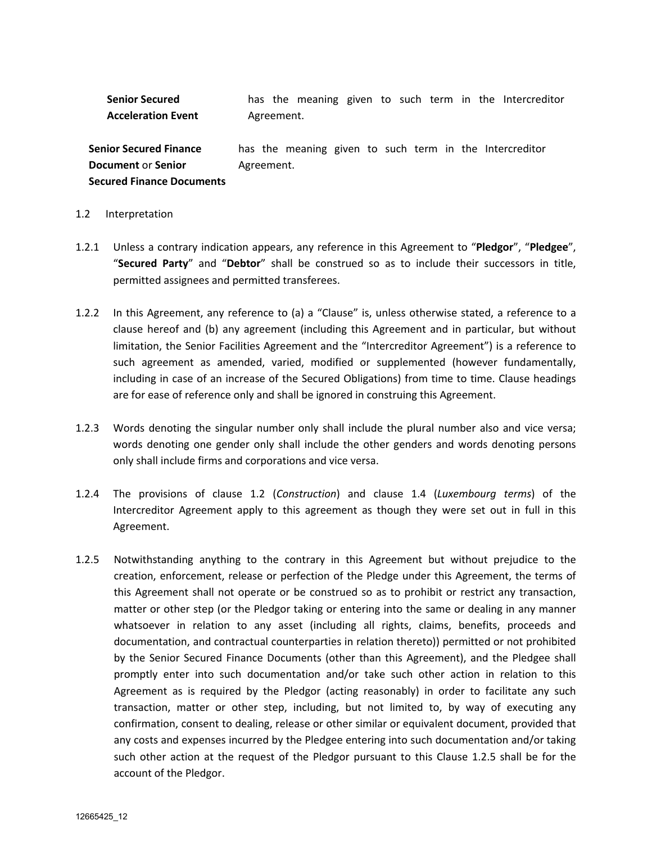**Senior Secured Acceleration Event** has the meaning given to such term in the Intercreditor Agreement.

**Senior Secured Finance Document** or **Senior Secured Finance Documents** has the meaning given to such term in the Intercreditor Agreement.

#### 1.2 Interpretation

- 1.2.1 Unless a contrary indication appears, any reference in this Agreement to "**Pledgor**", "**Pledgee**", "**Secured Party**" and "**Debtor**" shall be construed so as to include their successors in title, permitted assignees and permitted transferees.
- 1.2.2 In this Agreement, any reference to (a) a "Clause" is, unless otherwise stated, a reference to a clause hereof and (b) any agreement (including this Agreement and in particular, but without limitation, the Senior Facilities Agreement and the "Intercreditor Agreement") is a reference to such agreement as amended, varied, modified or supplemented (however fundamentally, including in case of an increase of the Secured Obligations) from time to time. Clause headings are for ease of reference only and shall be ignored in construing this Agreement.
- 1.2.3 Words denoting the singular number only shall include the plural number also and vice versa; words denoting one gender only shall include the other genders and words denoting persons only shall include firms and corporations and vice versa.
- 1.2.4 The provisions of clause 1.2 (*Construction*) and clause 1.4 (*Luxembourg terms*) of the Intercreditor Agreement apply to this agreement as though they were set out in full in this Agreement.
- 1.2.5 Notwithstanding anything to the contrary in this Agreement but without prejudice to the creation, enforcement, release or perfection of the Pledge under this Agreement, the terms of this Agreement shall not operate or be construed so as to prohibit or restrict any transaction, matter or other step (or the Pledgor taking or entering into the same or dealing in any manner whatsoever in relation to any asset (including all rights, claims, benefits, proceeds and documentation, and contractual counterparties in relation thereto)) permitted or not prohibited by the Senior Secured Finance Documents (other than this Agreement), and the Pledgee shall promptly enter into such documentation and/or take such other action in relation to this Agreement as is required by the Pledgor (acting reasonably) in order to facilitate any such transaction, matter or other step, including, but not limited to, by way of executing any confirmation, consent to dealing, release or other similar or equivalent document, provided that any costs and expenses incurred by the Pledgee entering into such documentation and/or taking such other action at the request of the Pledgor pursuant to this Clause 1.2.5 shall be for the account of the Pledgor.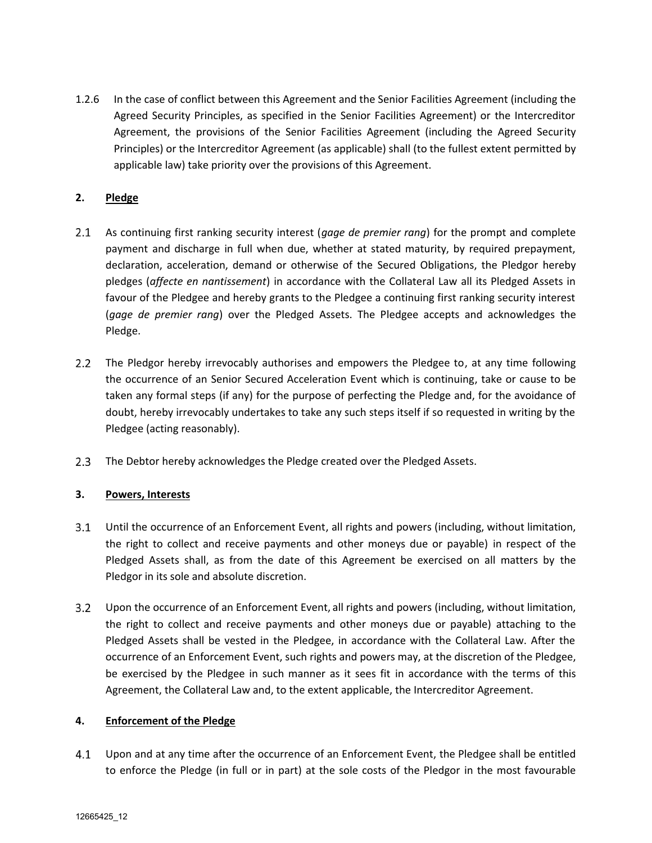1.2.6 In the case of conflict between this Agreement and the Senior Facilities Agreement (including the Agreed Security Principles, as specified in the Senior Facilities Agreement) or the Intercreditor Agreement, the provisions of the Senior Facilities Agreement (including the Agreed Security Principles) or the Intercreditor Agreement (as applicable) shall (to the fullest extent permitted by applicable law) take priority over the provisions of this Agreement.

## **2. Pledge**

- $2.1$ As continuing first ranking security interest (*gage de premier rang*) for the prompt and complete payment and discharge in full when due, whether at stated maturity, by required prepayment, declaration, acceleration, demand or otherwise of the Secured Obligations, the Pledgor hereby pledges (*affecte en nantissement*) in accordance with the Collateral Law all its Pledged Assets in favour of the Pledgee and hereby grants to the Pledgee a continuing first ranking security interest (*gage de premier rang*) over the Pledged Assets. The Pledgee accepts and acknowledges the Pledge.
- 2.2 The Pledgor hereby irrevocably authorises and empowers the Pledgee to, at any time following the occurrence of an Senior Secured Acceleration Event which is continuing, take or cause to be taken any formal steps (if any) for the purpose of perfecting the Pledge and, for the avoidance of doubt, hereby irrevocably undertakes to take any such steps itself if so requested in writing by the Pledgee (acting reasonably).
- $2.3$ The Debtor hereby acknowledges the Pledge created over the Pledged Assets.

## **3. Powers, Interests**

- $3.1$ Until the occurrence of an Enforcement Event, all rights and powers (including, without limitation, the right to collect and receive payments and other moneys due or payable) in respect of the Pledged Assets shall, as from the date of this Agreement be exercised on all matters by the Pledgor in its sole and absolute discretion.
- Upon the occurrence of an Enforcement Event, all rights and powers (including, without limitation, the right to collect and receive payments and other moneys due or payable) attaching to the Pledged Assets shall be vested in the Pledgee, in accordance with the Collateral Law. After the occurrence of an Enforcement Event, such rights and powers may, at the discretion of the Pledgee, be exercised by the Pledgee in such manner as it sees fit in accordance with the terms of this Agreement, the Collateral Law and, to the extent applicable, the Intercreditor Agreement.

### **4. Enforcement of the Pledge**

 $4.1$ Upon and at any time after the occurrence of an Enforcement Event, the Pledgee shall be entitled to enforce the Pledge (in full or in part) at the sole costs of the Pledgor in the most favourable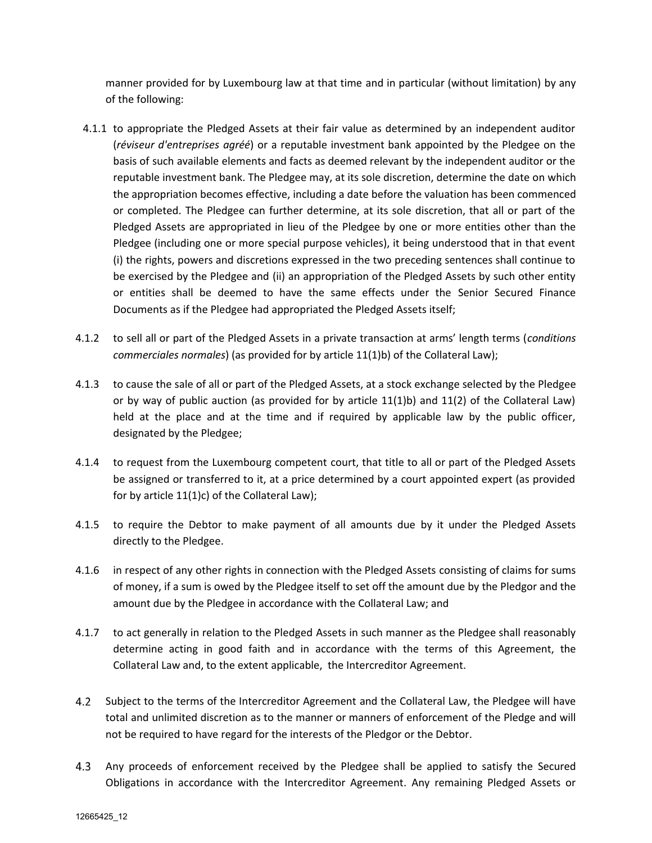manner provided for by Luxembourg law at that time and in particular (without limitation) by any of the following:

- 4.1.1 to appropriate the Pledged Assets at their fair value as determined by an independent auditor (*réviseur d'entreprises agréé*) or a reputable investment bank appointed by the Pledgee on the basis of such available elements and facts as deemed relevant by the independent auditor or the reputable investment bank. The Pledgee may, at its sole discretion, determine the date on which the appropriation becomes effective, including a date before the valuation has been commenced or completed. The Pledgee can further determine, at its sole discretion, that all or part of the Pledged Assets are appropriated in lieu of the Pledgee by one or more entities other than the Pledgee (including one or more special purpose vehicles), it being understood that in that event (i) the rights, powers and discretions expressed in the two preceding sentences shall continue to be exercised by the Pledgee and (ii) an appropriation of the Pledged Assets by such other entity or entities shall be deemed to have the same effects under the Senior Secured Finance Documents as if the Pledgee had appropriated the Pledged Assets itself;
- 4.1.2 to sell all or part of the Pledged Assets in a private transaction at arms' length terms (*conditions commerciales normales*) (as provided for by article 11(1)b) of the Collateral Law);
- 4.1.3 to cause the sale of all or part of the Pledged Assets, at a stock exchange selected by the Pledgee or by way of public auction (as provided for by article 11(1)b) and 11(2) of the Collateral Law) held at the place and at the time and if required by applicable law by the public officer, designated by the Pledgee;
- 4.1.4 to request from the Luxembourg competent court, that title to all or part of the Pledged Assets be assigned or transferred to it, at a price determined by a court appointed expert (as provided for by article 11(1)c) of the Collateral Law);
- 4.1.5 to require the Debtor to make payment of all amounts due by it under the Pledged Assets directly to the Pledgee.
- 4.1.6 in respect of any other rights in connection with the Pledged Assets consisting of claims for sums of money, if a sum is owed by the Pledgee itself to set off the amount due by the Pledgor and the amount due by the Pledgee in accordance with the Collateral Law; and
- 4.1.7 to act generally in relation to the Pledged Assets in such manner as the Pledgee shall reasonably determine acting in good faith and in accordance with the terms of this Agreement, the Collateral Law and, to the extent applicable, the Intercreditor Agreement.
- 4.2 Subject to the terms of the Intercreditor Agreement and the Collateral Law, the Pledgee will have total and unlimited discretion as to the manner or manners of enforcement of the Pledge and will not be required to have regard for the interests of the Pledgor or the Debtor.
- $4.3$ Any proceeds of enforcement received by the Pledgee shall be applied to satisfy the Secured Obligations in accordance with the Intercreditor Agreement. Any remaining Pledged Assets or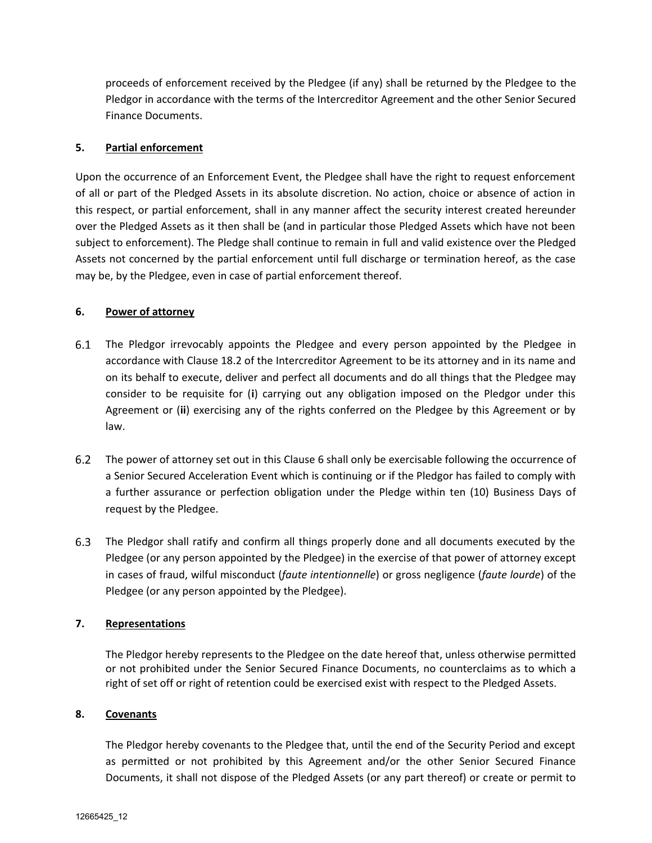proceeds of enforcement received by the Pledgee (if any) shall be returned by the Pledgee to the Pledgor in accordance with the terms of the Intercreditor Agreement and the other Senior Secured Finance Documents.

## **5. Partial enforcement**

Upon the occurrence of an Enforcement Event, the Pledgee shall have the right to request enforcement of all or part of the Pledged Assets in its absolute discretion. No action, choice or absence of action in this respect, or partial enforcement, shall in any manner affect the security interest created hereunder over the Pledged Assets as it then shall be (and in particular those Pledged Assets which have not been subject to enforcement). The Pledge shall continue to remain in full and valid existence over the Pledged Assets not concerned by the partial enforcement until full discharge or termination hereof, as the case may be, by the Pledgee, even in case of partial enforcement thereof.

## **6. Power of attorney**

- The Pledgor irrevocably appoints the Pledgee and every person appointed by the Pledgee in accordance with Clause 18.2 of the Intercreditor Agreement to be its attorney and in its name and on its behalf to execute, deliver and perfect all documents and do all things that the Pledgee may consider to be requisite for (**i**) carrying out any obligation imposed on the Pledgor under this Agreement or (**ii**) exercising any of the rights conferred on the Pledgee by this Agreement or by law.
- $6.2$ The power of attorney set out in this Clause 6 shall only be exercisable following the occurrence of a Senior Secured Acceleration Event which is continuing or if the Pledgor has failed to comply with a further assurance or perfection obligation under the Pledge within ten (10) Business Days of request by the Pledgee.
- 6.3 The Pledgor shall ratify and confirm all things properly done and all documents executed by the Pledgee (or any person appointed by the Pledgee) in the exercise of that power of attorney except in cases of fraud, wilful misconduct (*faute intentionnelle*) or gross negligence (*faute lourde*) of the Pledgee (or any person appointed by the Pledgee).

## **7. Representations**

The Pledgor hereby represents to the Pledgee on the date hereof that, unless otherwise permitted or not prohibited under the Senior Secured Finance Documents, no counterclaims as to which a right of set off or right of retention could be exercised exist with respect to the Pledged Assets.

### **8. Covenants**

The Pledgor hereby covenants to the Pledgee that, until the end of the Security Period and except as permitted or not prohibited by this Agreement and/or the other Senior Secured Finance Documents, it shall not dispose of the Pledged Assets (or any part thereof) or create or permit to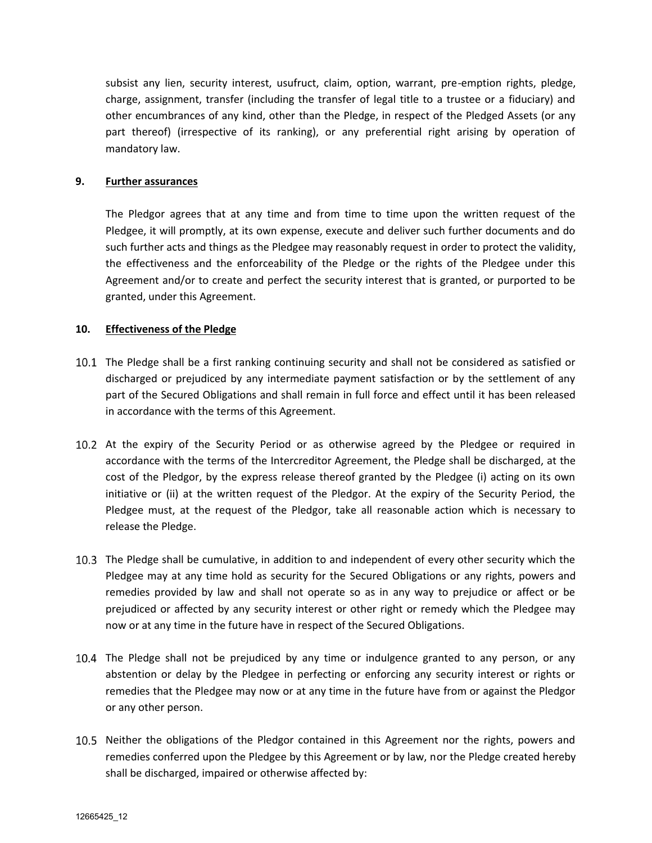subsist any lien, security interest, usufruct, claim, option, warrant, pre-emption rights, pledge, charge, assignment, transfer (including the transfer of legal title to a trustee or a fiduciary) and other encumbrances of any kind, other than the Pledge, in respect of the Pledged Assets (or any part thereof) (irrespective of its ranking), or any preferential right arising by operation of mandatory law.

### **9. Further assurances**

The Pledgor agrees that at any time and from time to time upon the written request of the Pledgee, it will promptly, at its own expense, execute and deliver such further documents and do such further acts and things as the Pledgee may reasonably request in order to protect the validity, the effectiveness and the enforceability of the Pledge or the rights of the Pledgee under this Agreement and/or to create and perfect the security interest that is granted, or purported to be granted, under this Agreement.

#### **10. Effectiveness of the Pledge**

- 10.1 The Pledge shall be a first ranking continuing security and shall not be considered as satisfied or discharged or prejudiced by any intermediate payment satisfaction or by the settlement of any part of the Secured Obligations and shall remain in full force and effect until it has been released in accordance with the terms of this Agreement.
- 10.2 At the expiry of the Security Period or as otherwise agreed by the Pledgee or required in accordance with the terms of the Intercreditor Agreement, the Pledge shall be discharged, at the cost of the Pledgor, by the express release thereof granted by the Pledgee (i) acting on its own initiative or (ii) at the written request of the Pledgor. At the expiry of the Security Period, the Pledgee must, at the request of the Pledgor, take all reasonable action which is necessary to release the Pledge.
- The Pledge shall be cumulative, in addition to and independent of every other security which the Pledgee may at any time hold as security for the Secured Obligations or any rights, powers and remedies provided by law and shall not operate so as in any way to prejudice or affect or be prejudiced or affected by any security interest or other right or remedy which the Pledgee may now or at any time in the future have in respect of the Secured Obligations.
- 10.4 The Pledge shall not be prejudiced by any time or indulgence granted to any person, or any abstention or delay by the Pledgee in perfecting or enforcing any security interest or rights or remedies that the Pledgee may now or at any time in the future have from or against the Pledgor or any other person.
- 10.5 Neither the obligations of the Pledgor contained in this Agreement nor the rights, powers and remedies conferred upon the Pledgee by this Agreement or by law, nor the Pledge created hereby shall be discharged, impaired or otherwise affected by: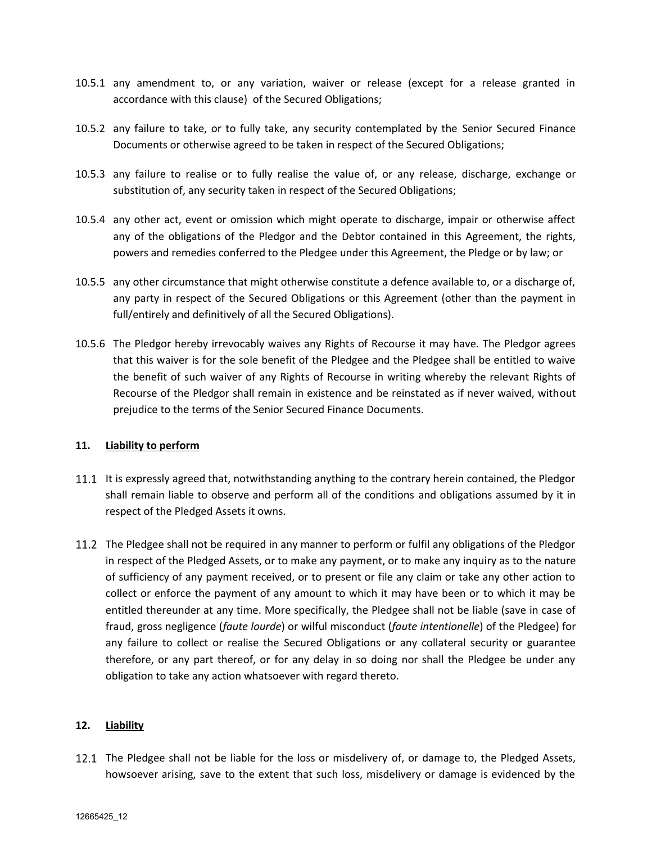- 10.5.1 any amendment to, or any variation, waiver or release (except for a release granted in accordance with this clause) of the Secured Obligations;
- 10.5.2 any failure to take, or to fully take, any security contemplated by the Senior Secured Finance Documents or otherwise agreed to be taken in respect of the Secured Obligations;
- 10.5.3 any failure to realise or to fully realise the value of, or any release, discharge, exchange or substitution of, any security taken in respect of the Secured Obligations;
- 10.5.4 any other act, event or omission which might operate to discharge, impair or otherwise affect any of the obligations of the Pledgor and the Debtor contained in this Agreement, the rights, powers and remedies conferred to the Pledgee under this Agreement, the Pledge or by law; or
- 10.5.5 any other circumstance that might otherwise constitute a defence available to, or a discharge of, any party in respect of the Secured Obligations or this Agreement (other than the payment in full/entirely and definitively of all the Secured Obligations).
- 10.5.6 The Pledgor hereby irrevocably waives any Rights of Recourse it may have. The Pledgor agrees that this waiver is for the sole benefit of the Pledgee and the Pledgee shall be entitled to waive the benefit of such waiver of any Rights of Recourse in writing whereby the relevant Rights of Recourse of the Pledgor shall remain in existence and be reinstated as if never waived, without prejudice to the terms of the Senior Secured Finance Documents.

### **11. Liability to perform**

- 11.1 It is expressly agreed that, notwithstanding anything to the contrary herein contained, the Pledgor shall remain liable to observe and perform all of the conditions and obligations assumed by it in respect of the Pledged Assets it owns.
- 11.2 The Pledgee shall not be required in any manner to perform or fulfil any obligations of the Pledgor in respect of the Pledged Assets, or to make any payment, or to make any inquiry as to the nature of sufficiency of any payment received, or to present or file any claim or take any other action to collect or enforce the payment of any amount to which it may have been or to which it may be entitled thereunder at any time. More specifically, the Pledgee shall not be liable (save in case of fraud, gross negligence (*faute lourde*) or wilful misconduct (*faute intentionelle*) of the Pledgee) for any failure to collect or realise the Secured Obligations or any collateral security or guarantee therefore, or any part thereof, or for any delay in so doing nor shall the Pledgee be under any obligation to take any action whatsoever with regard thereto.

### **12. Liability**

12.1 The Pledgee shall not be liable for the loss or misdelivery of, or damage to, the Pledged Assets, howsoever arising, save to the extent that such loss, misdelivery or damage is evidenced by the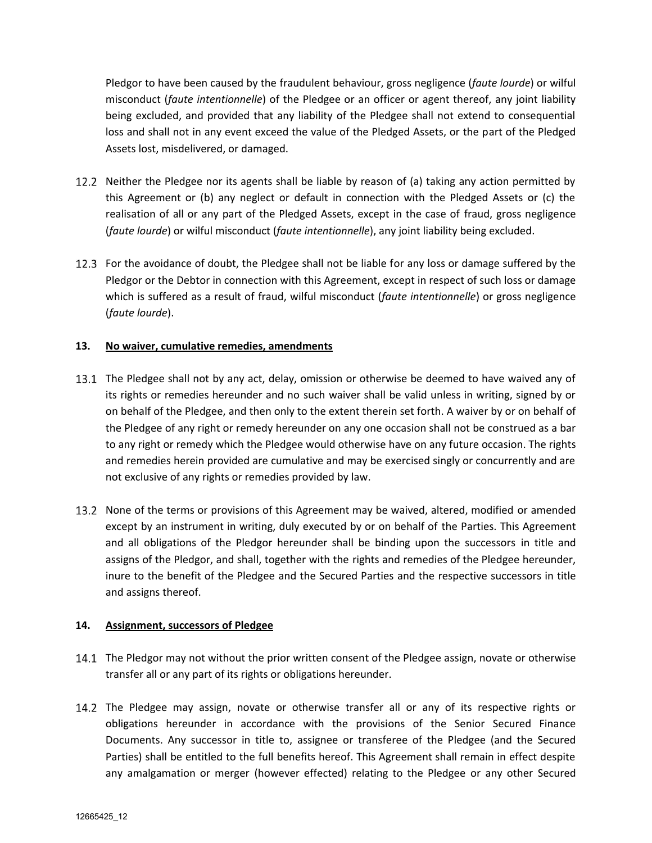Pledgor to have been caused by the fraudulent behaviour, gross negligence (*faute lourde*) or wilful misconduct (*faute intentionnelle*) of the Pledgee or an officer or agent thereof, any joint liability being excluded, and provided that any liability of the Pledgee shall not extend to consequential loss and shall not in any event exceed the value of the Pledged Assets, or the part of the Pledged Assets lost, misdelivered, or damaged.

- 12.2 Neither the Pledgee nor its agents shall be liable by reason of (a) taking any action permitted by this Agreement or (b) any neglect or default in connection with the Pledged Assets or (c) the realisation of all or any part of the Pledged Assets, except in the case of fraud, gross negligence (*faute lourde*) or wilful misconduct (*faute intentionnelle*), any joint liability being excluded.
- 12.3 For the avoidance of doubt, the Pledgee shall not be liable for any loss or damage suffered by the Pledgor or the Debtor in connection with this Agreement, except in respect of such loss or damage which is suffered as a result of fraud, wilful misconduct (*faute intentionnelle*) or gross negligence (*faute lourde*).

## **13. No waiver, cumulative remedies, amendments**

- 13.1 The Pledgee shall not by any act, delay, omission or otherwise be deemed to have waived any of its rights or remedies hereunder and no such waiver shall be valid unless in writing, signed by or on behalf of the Pledgee, and then only to the extent therein set forth. A waiver by or on behalf of the Pledgee of any right or remedy hereunder on any one occasion shall not be construed as a bar to any right or remedy which the Pledgee would otherwise have on any future occasion. The rights and remedies herein provided are cumulative and may be exercised singly or concurrently and are not exclusive of any rights or remedies provided by law.
- 13.2 None of the terms or provisions of this Agreement may be waived, altered, modified or amended except by an instrument in writing, duly executed by or on behalf of the Parties. This Agreement and all obligations of the Pledgor hereunder shall be binding upon the successors in title and assigns of the Pledgor, and shall, together with the rights and remedies of the Pledgee hereunder, inure to the benefit of the Pledgee and the Secured Parties and the respective successors in title and assigns thereof.

### **14. Assignment, successors of Pledgee**

- 14.1 The Pledgor may not without the prior written consent of the Pledgee assign, novate or otherwise transfer all or any part of its rights or obligations hereunder.
- 14.2 The Pledgee may assign, novate or otherwise transfer all or any of its respective rights or obligations hereunder in accordance with the provisions of the Senior Secured Finance Documents. Any successor in title to, assignee or transferee of the Pledgee (and the Secured Parties) shall be entitled to the full benefits hereof. This Agreement shall remain in effect despite any amalgamation or merger (however effected) relating to the Pledgee or any other Secured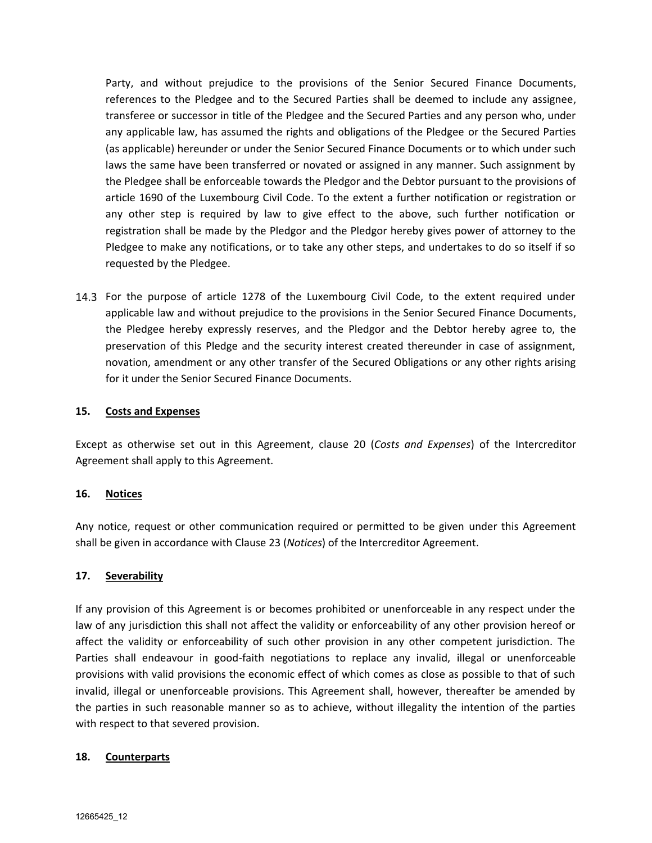Party, and without prejudice to the provisions of the Senior Secured Finance Documents, references to the Pledgee and to the Secured Parties shall be deemed to include any assignee, transferee or successor in title of the Pledgee and the Secured Parties and any person who, under any applicable law, has assumed the rights and obligations of the Pledgee or the Secured Parties (as applicable) hereunder or under the Senior Secured Finance Documents or to which under such laws the same have been transferred or novated or assigned in any manner. Such assignment by the Pledgee shall be enforceable towards the Pledgor and the Debtor pursuant to the provisions of article 1690 of the Luxembourg Civil Code. To the extent a further notification or registration or any other step is required by law to give effect to the above, such further notification or registration shall be made by the Pledgor and the Pledgor hereby gives power of attorney to the Pledgee to make any notifications, or to take any other steps, and undertakes to do so itself if so requested by the Pledgee.

14.3 For the purpose of article 1278 of the Luxembourg Civil Code, to the extent required under applicable law and without prejudice to the provisions in the Senior Secured Finance Documents, the Pledgee hereby expressly reserves, and the Pledgor and the Debtor hereby agree to, the preservation of this Pledge and the security interest created thereunder in case of assignment, novation, amendment or any other transfer of the Secured Obligations or any other rights arising for it under the Senior Secured Finance Documents.

### **15. Costs and Expenses**

Except as otherwise set out in this Agreement, clause 20 (*Costs and Expenses*) of the Intercreditor Agreement shall apply to this Agreement.

#### **16. Notices**

Any notice, request or other communication required or permitted to be given under this Agreement shall be given in accordance with Clause 23 (*Notices*) of the Intercreditor Agreement.

### **17. Severability**

If any provision of this Agreement is or becomes prohibited or unenforceable in any respect under the law of any jurisdiction this shall not affect the validity or enforceability of any other provision hereof or affect the validity or enforceability of such other provision in any other competent jurisdiction. The Parties shall endeavour in good-faith negotiations to replace any invalid, illegal or unenforceable provisions with valid provisions the economic effect of which comes as close as possible to that of such invalid, illegal or unenforceable provisions. This Agreement shall, however, thereafter be amended by the parties in such reasonable manner so as to achieve, without illegality the intention of the parties with respect to that severed provision.

### **18. Counterparts**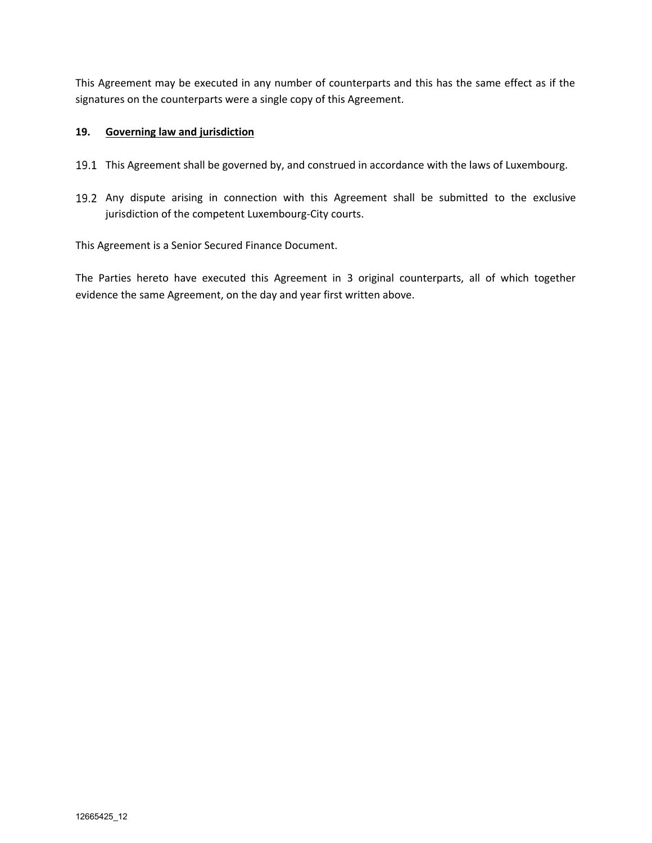This Agreement may be executed in any number of counterparts and this has the same effect as if the signatures on the counterparts were a single copy of this Agreement.

## **19. Governing law and jurisdiction**

- 19.1 This Agreement shall be governed by, and construed in accordance with the laws of Luxembourg.
- 19.2 Any dispute arising in connection with this Agreement shall be submitted to the exclusive jurisdiction of the competent Luxembourg-City courts.

This Agreement is a Senior Secured Finance Document.

The Parties hereto have executed this Agreement in 3 original counterparts, all of which together evidence the same Agreement, on the day and year first written above.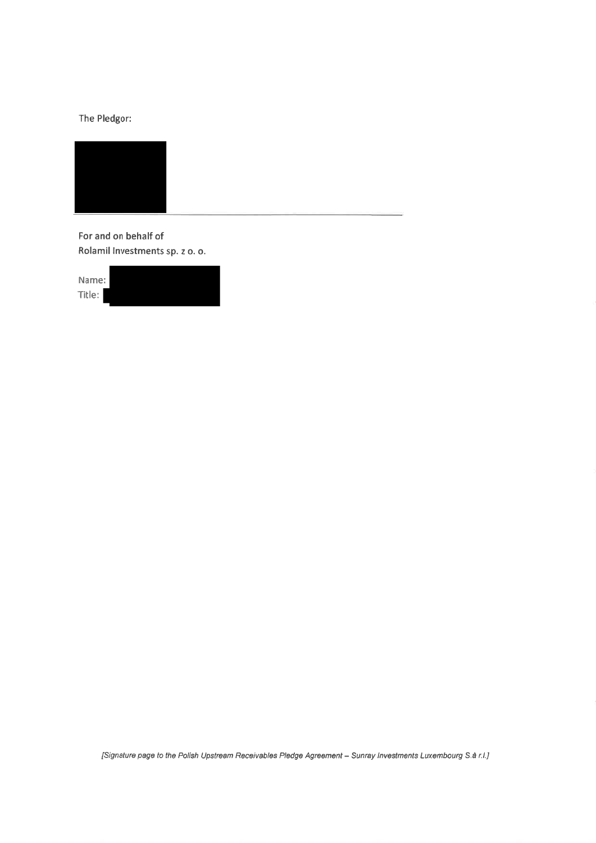The Pledgor:



For and on behalf of Rolamil Investments sp. z o. o.

| Name:  |  |  |
|--------|--|--|
|        |  |  |
| Title: |  |  |
|        |  |  |

[Signature page to the Polish Upstream Receivables Pledge Agreement - Sunray Investments Luxembourg S.à r.l.]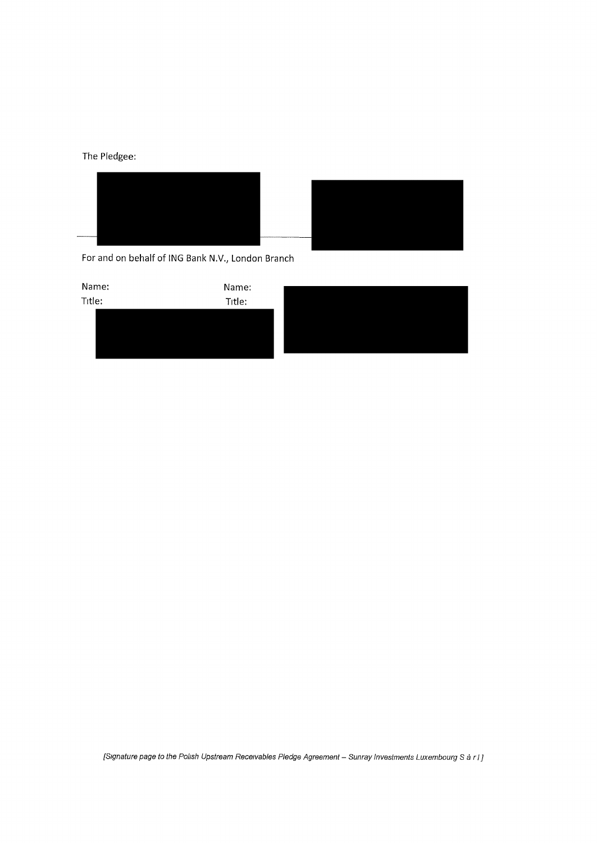The Pledgee:



For and on behalf of ING Bank N.V., London Branch



*[Signature page to the Polish Upstream Receivables Pledge Agreement- Sunray Investments Luxembourg Sari]*